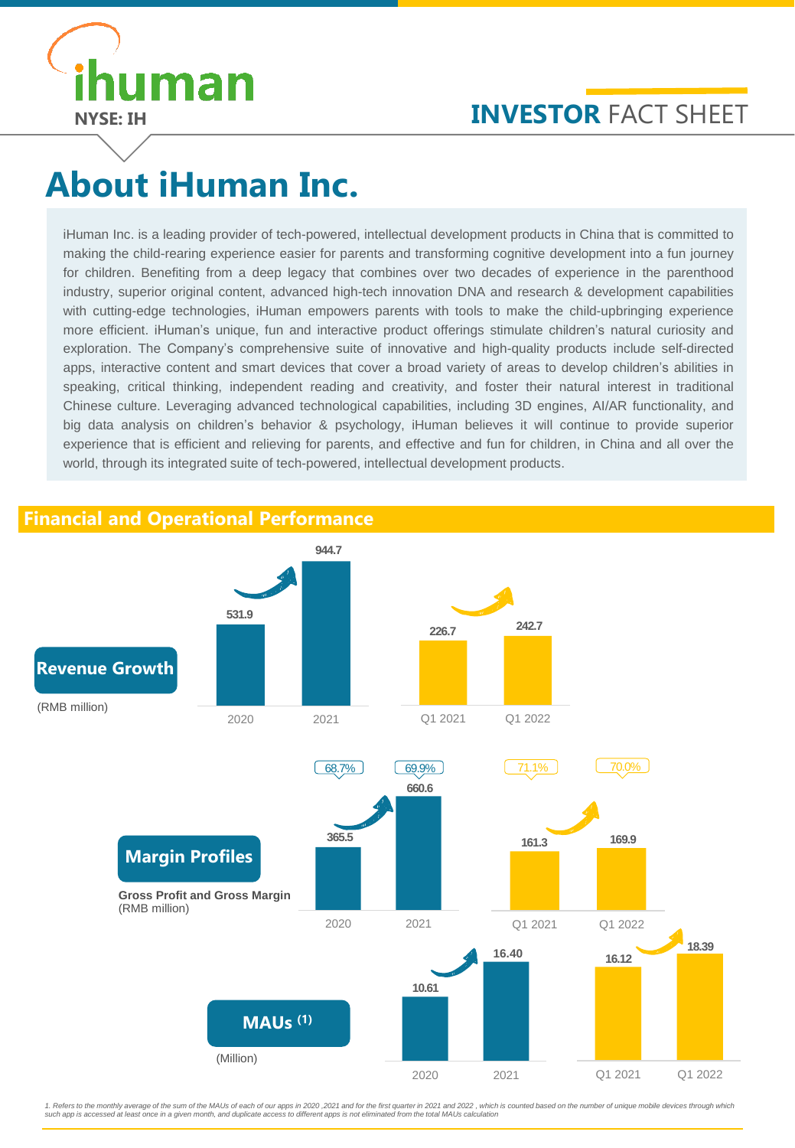

## **INVESTOR FACT SHEET**

# **About iHuman Inc.**

iHuman Inc. is a leading provider of tech-powered, intellectual development products in China that is committed to making the child-rearing experience easier for parents and transforming cognitive development into a fun journey for children. Benefiting from a deep legacy that combines over two decades of experience in the parenthood industry, superior original content, advanced high-tech innovation DNA and research & development capabilities with cutting-edge technologies, iHuman empowers parents with tools to make the child-upbringing experience more efficient. iHuman's unique, fun and interactive product offerings stimulate children's natural curiosity and exploration. The Company's comprehensive suite of innovative and high-quality products include self-directed apps, interactive content and smart devices that cover a broad variety of areas to develop children's abilities in speaking, critical thinking, independent reading and creativity, and foster their natural interest in traditional Chinese culture. Leveraging advanced technological capabilities, including 3D engines, AI/AR functionality, and big data analysis on children's behavior & psychology, iHuman believes it will continue to provide superior experience that is efficient and relieving for parents, and effective and fun for children, in China and all over the world, through its integrated suite of tech-powered, intellectual development products.

### **Financial and Operational Performance**



1. Refers to the monthly average of the sum of the MAUs of each of our apps in 2020, 2021 and for the first quarter in 2021 and 2022 , which is counted based on the number of unique mobile devices through which<br>such app is